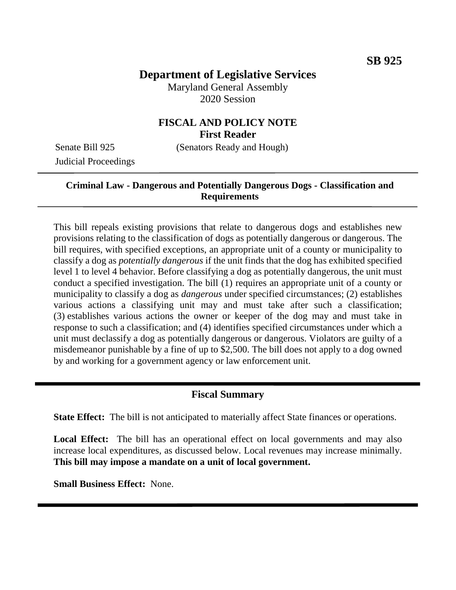# **Department of Legislative Services**

Maryland General Assembly 2020 Session

# **FISCAL AND POLICY NOTE First Reader**

Judicial Proceedings

Senate Bill 925 (Senators Ready and Hough)

## **Criminal Law - Dangerous and Potentially Dangerous Dogs - Classification and Requirements**

This bill repeals existing provisions that relate to dangerous dogs and establishes new provisions relating to the classification of dogs as potentially dangerous or dangerous. The bill requires, with specified exceptions, an appropriate unit of a county or municipality to classify a dog as *potentially dangerous* if the unit finds that the dog has exhibited specified level 1 to level 4 behavior. Before classifying a dog as potentially dangerous, the unit must conduct a specified investigation. The bill (1) requires an appropriate unit of a county or municipality to classify a dog as *dangerous* under specified circumstances; (2) establishes various actions a classifying unit may and must take after such a classification; (3) establishes various actions the owner or keeper of the dog may and must take in response to such a classification; and (4) identifies specified circumstances under which a unit must declassify a dog as potentially dangerous or dangerous. Violators are guilty of a misdemeanor punishable by a fine of up to \$2,500. The bill does not apply to a dog owned by and working for a government agency or law enforcement unit.

# **Fiscal Summary**

**State Effect:** The bill is not anticipated to materially affect State finances or operations.

Local Effect: The bill has an operational effect on local governments and may also increase local expenditures, as discussed below. Local revenues may increase minimally. **This bill may impose a mandate on a unit of local government.** 

**Small Business Effect:** None.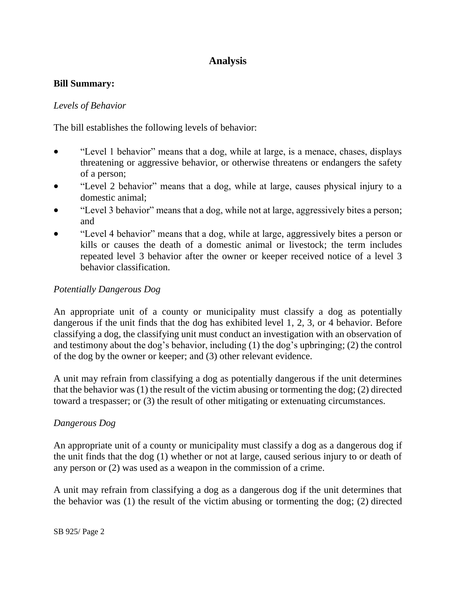# **Analysis**

### **Bill Summary:**

## *Levels of Behavior*

The bill establishes the following levels of behavior:

- "Level 1 behavior" means that a dog, while at large, is a menace, chases, displays threatening or aggressive behavior, or otherwise threatens or endangers the safety of a person;
- "Level 2 behavior" means that a dog, while at large, causes physical injury to a domestic animal;
- "Level 3 behavior" means that a dog, while not at large, aggressively bites a person; and
- "Level 4 behavior" means that a dog, while at large, aggressively bites a person or kills or causes the death of a domestic animal or livestock; the term includes repeated level 3 behavior after the owner or keeper received notice of a level 3 behavior classification.

# *Potentially Dangerous Dog*

An appropriate unit of a county or municipality must classify a dog as potentially dangerous if the unit finds that the dog has exhibited level 1, 2, 3, or 4 behavior. Before classifying a dog, the classifying unit must conduct an investigation with an observation of and testimony about the dog's behavior, including (1) the dog's upbringing; (2) the control of the dog by the owner or keeper; and (3) other relevant evidence.

A unit may refrain from classifying a dog as potentially dangerous if the unit determines that the behavior was (1) the result of the victim abusing or tormenting the dog; (2) directed toward a trespasser; or (3) the result of other mitigating or extenuating circumstances.

#### *Dangerous Dog*

An appropriate unit of a county or municipality must classify a dog as a dangerous dog if the unit finds that the dog (1) whether or not at large, caused serious injury to or death of any person or (2) was used as a weapon in the commission of a crime.

A unit may refrain from classifying a dog as a dangerous dog if the unit determines that the behavior was (1) the result of the victim abusing or tormenting the dog; (2) directed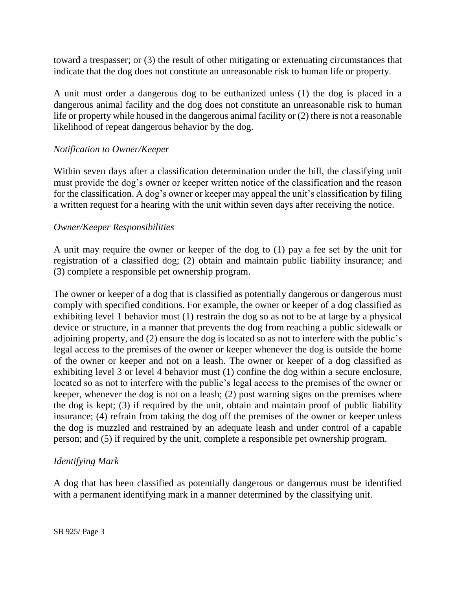toward a trespasser; or (3) the result of other mitigating or extenuating circumstances that indicate that the dog does not constitute an unreasonable risk to human life or property.

A unit must order a dangerous dog to be euthanized unless (1) the dog is placed in a dangerous animal facility and the dog does not constitute an unreasonable risk to human life or property while housed in the dangerous animal facility or (2) there is not a reasonable likelihood of repeat dangerous behavior by the dog.

#### *Notification to Owner/Keeper*

Within seven days after a classification determination under the bill, the classifying unit must provide the dog's owner or keeper written notice of the classification and the reason for the classification. A dog's owner or keeper may appeal the unit's classification by filing a written request for a hearing with the unit within seven days after receiving the notice.

#### *Owner/Keeper Responsibilities*

A unit may require the owner or keeper of the dog to (1) pay a fee set by the unit for registration of a classified dog; (2) obtain and maintain public liability insurance; and (3) complete a responsible pet ownership program.

The owner or keeper of a dog that is classified as potentially dangerous or dangerous must comply with specified conditions. For example, the owner or keeper of a dog classified as exhibiting level 1 behavior must (1) restrain the dog so as not to be at large by a physical device or structure, in a manner that prevents the dog from reaching a public sidewalk or adjoining property, and (2) ensure the dog is located so as not to interfere with the public's legal access to the premises of the owner or keeper whenever the dog is outside the home of the owner or keeper and not on a leash. The owner or keeper of a dog classified as exhibiting level 3 or level 4 behavior must (1) confine the dog within a secure enclosure, located so as not to interfere with the public's legal access to the premises of the owner or keeper, whenever the dog is not on a leash; (2) post warning signs on the premises where the dog is kept; (3) if required by the unit, obtain and maintain proof of public liability insurance; (4) refrain from taking the dog off the premises of the owner or keeper unless the dog is muzzled and restrained by an adequate leash and under control of a capable person; and (5) if required by the unit, complete a responsible pet ownership program.

#### *Identifying Mark*

A dog that has been classified as potentially dangerous or dangerous must be identified with a permanent identifying mark in a manner determined by the classifying unit.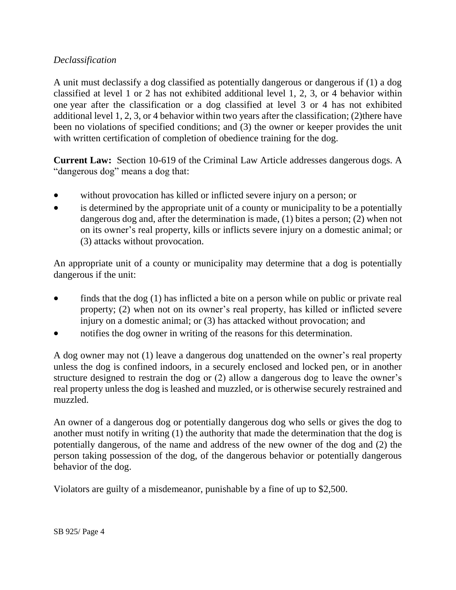## *Declassification*

A unit must declassify a dog classified as potentially dangerous or dangerous if (1) a dog classified at level 1 or 2 has not exhibited additional level 1, 2, 3, or 4 behavior within one year after the classification or a dog classified at level 3 or 4 has not exhibited additional level 1, 2, 3, or 4 behavior within two years after the classification; (2)there have been no violations of specified conditions; and (3) the owner or keeper provides the unit with written certification of completion of obedience training for the dog.

**Current Law:** Section 10-619 of the Criminal Law Article addresses dangerous dogs. A "dangerous dog" means a dog that:

- without provocation has killed or inflicted severe injury on a person; or
- is determined by the appropriate unit of a county or municipality to be a potentially dangerous dog and, after the determination is made, (1) bites a person; (2) when not on its owner's real property, kills or inflicts severe injury on a domestic animal; or (3) attacks without provocation.

An appropriate unit of a county or municipality may determine that a dog is potentially dangerous if the unit:

- finds that the dog (1) has inflicted a bite on a person while on public or private real property; (2) when not on its owner's real property, has killed or inflicted severe injury on a domestic animal; or (3) has attacked without provocation; and
- notifies the dog owner in writing of the reasons for this determination.

A dog owner may not (1) leave a dangerous dog unattended on the owner's real property unless the dog is confined indoors, in a securely enclosed and locked pen, or in another structure designed to restrain the dog or (2) allow a dangerous dog to leave the owner's real property unless the dog is leashed and muzzled, or is otherwise securely restrained and muzzled.

An owner of a dangerous dog or potentially dangerous dog who sells or gives the dog to another must notify in writing (1) the authority that made the determination that the dog is potentially dangerous, of the name and address of the new owner of the dog and (2) the person taking possession of the dog, of the dangerous behavior or potentially dangerous behavior of the dog.

Violators are guilty of a misdemeanor, punishable by a fine of up to \$2,500.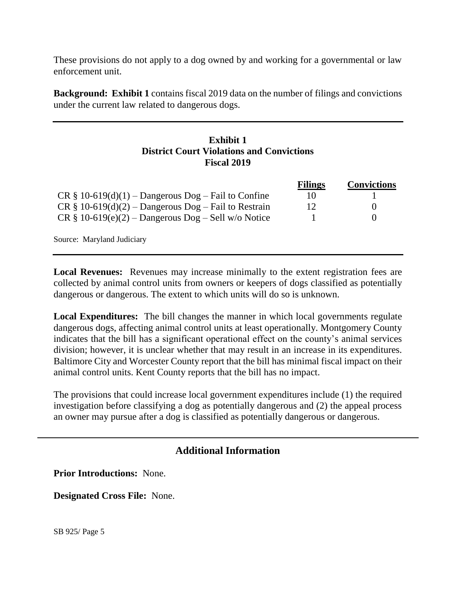These provisions do not apply to a dog owned by and working for a governmental or law enforcement unit.

**Background: Exhibit 1** contains fiscal 2019 data on the number of filings and convictions under the current law related to dangerous dogs.

## **Exhibit 1 District Court Violations and Convictions Fiscal 2019**

|                                                         | <b>Filings</b> | <b>Convictions</b> |
|---------------------------------------------------------|----------------|--------------------|
| $CR \S 10-619(d)(1) - Dangerous Dog - Fail to Confine$  | 10             |                    |
| $CR \S 10-619(d)(2) - Dangerous Dog - Fail to Restrain$ | 12             | $\theta$           |
| $CR \S 10-619(e)(2) - Dangerous Dog - Sell w/o Notice$  |                | $\theta$           |

Source: Maryland Judiciary

**Local Revenues:** Revenues may increase minimally to the extent registration fees are collected by animal control units from owners or keepers of dogs classified as potentially dangerous or dangerous. The extent to which units will do so is unknown.

**Local Expenditures:** The bill changes the manner in which local governments regulate dangerous dogs, affecting animal control units at least operationally. Montgomery County indicates that the bill has a significant operational effect on the county's animal services division; however, it is unclear whether that may result in an increase in its expenditures. Baltimore City and Worcester County report that the bill has minimal fiscal impact on their animal control units. Kent County reports that the bill has no impact.

The provisions that could increase local government expenditures include (1) the required investigation before classifying a dog as potentially dangerous and (2) the appeal process an owner may pursue after a dog is classified as potentially dangerous or dangerous.

# **Additional Information**

**Prior Introductions:** None.

**Designated Cross File:** None.